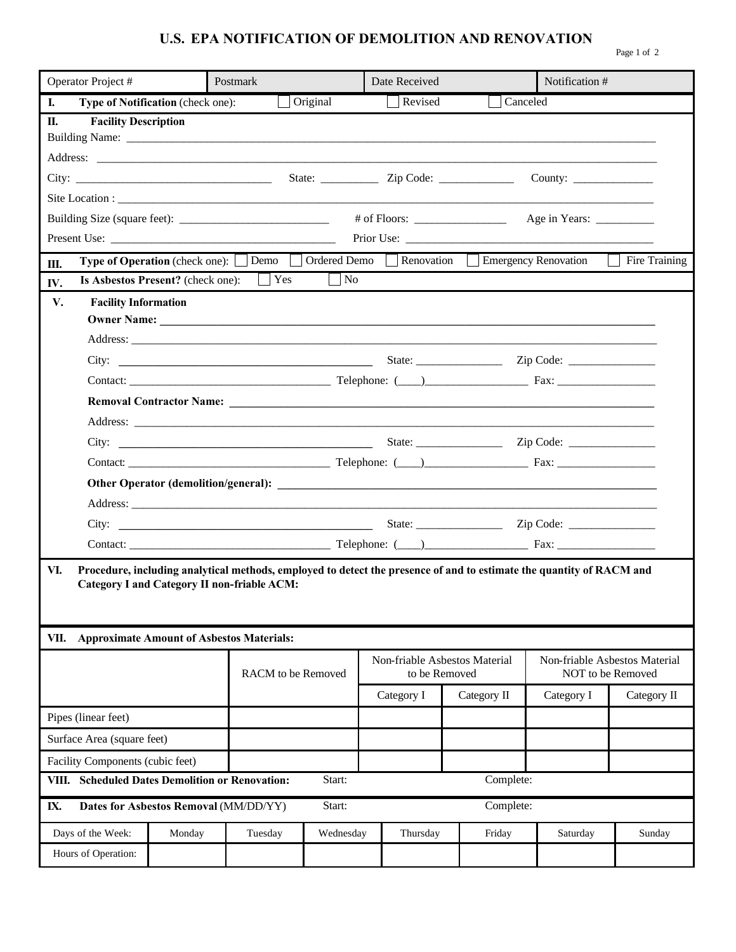## **U.S. EPA NOTIFICATION OF DEMOLITION AND RENOVATION**

|  | וו |  |
|--|----|--|

| Operator Project #  |                                                                                  | Postmark                                         |                                                               |           | Date Received                                  |                     | Notification #                                     |                                                                                                                      |               |  |
|---------------------|----------------------------------------------------------------------------------|--------------------------------------------------|---------------------------------------------------------------|-----------|------------------------------------------------|---------------------|----------------------------------------------------|----------------------------------------------------------------------------------------------------------------------|---------------|--|
| L.                  |                                                                                  | Type of Notification (check one):                |                                                               | Original  |                                                | Revised<br>Canceled |                                                    |                                                                                                                      |               |  |
| П.                  | <b>Facility Description</b>                                                      |                                                  |                                                               |           |                                                |                     |                                                    |                                                                                                                      |               |  |
|                     |                                                                                  |                                                  |                                                               |           |                                                |                     |                                                    |                                                                                                                      |               |  |
|                     |                                                                                  |                                                  |                                                               |           |                                                |                     |                                                    |                                                                                                                      |               |  |
|                     |                                                                                  |                                                  |                                                               |           |                                                |                     |                                                    | County: $\qquad \qquad$                                                                                              |               |  |
|                     |                                                                                  |                                                  |                                                               |           |                                                |                     |                                                    |                                                                                                                      |               |  |
|                     |                                                                                  |                                                  |                                                               |           |                                                |                     |                                                    |                                                                                                                      |               |  |
|                     |                                                                                  |                                                  |                                                               |           |                                                |                     |                                                    | Type of Operation (check one): Demo Ordered Demo Renovation Benergency Renovation                                    | Fire Training |  |
| Ш.<br>IV.           |                                                                                  |                                                  | <b>Is Asbestos Present?</b> (check one): $\Box$ Yes $\Box$ No |           |                                                |                     |                                                    |                                                                                                                      |               |  |
| V.                  | <b>Facility Information</b>                                                      |                                                  |                                                               |           |                                                |                     |                                                    |                                                                                                                      |               |  |
|                     |                                                                                  |                                                  |                                                               |           |                                                |                     |                                                    |                                                                                                                      |               |  |
|                     |                                                                                  |                                                  |                                                               |           |                                                |                     |                                                    |                                                                                                                      |               |  |
|                     |                                                                                  |                                                  |                                                               |           |                                                |                     |                                                    |                                                                                                                      |               |  |
|                     |                                                                                  |                                                  |                                                               |           |                                                |                     |                                                    |                                                                                                                      |               |  |
|                     |                                                                                  |                                                  |                                                               |           |                                                |                     |                                                    |                                                                                                                      |               |  |
|                     |                                                                                  |                                                  |                                                               |           |                                                |                     |                                                    |                                                                                                                      |               |  |
|                     |                                                                                  |                                                  |                                                               |           |                                                |                     |                                                    |                                                                                                                      |               |  |
|                     |                                                                                  |                                                  |                                                               |           |                                                |                     |                                                    |                                                                                                                      |               |  |
|                     |                                                                                  |                                                  |                                                               |           |                                                |                     |                                                    |                                                                                                                      |               |  |
|                     |                                                                                  |                                                  |                                                               |           |                                                |                     |                                                    |                                                                                                                      |               |  |
|                     |                                                                                  |                                                  |                                                               |           |                                                |                     |                                                    |                                                                                                                      |               |  |
|                     |                                                                                  |                                                  |                                                               |           |                                                |                     |                                                    |                                                                                                                      |               |  |
| VI.<br>VII.         |                                                                                  | <b>Approximate Amount of Asbestos Materials:</b> | <b>Category I and Category II non-friable ACM:</b>            |           |                                                |                     |                                                    | Procedure, including analytical methods, employed to detect the presence of and to estimate the quantity of RACM and |               |  |
|                     | RACM to be Removed                                                               |                                                  |                                                               |           | Non-friable Asbestos Material<br>to be Removed |                     | Non-friable Asbestos Material<br>NOT to be Removed |                                                                                                                      |               |  |
|                     |                                                                                  |                                                  |                                                               |           | Category I                                     | Category II         | Category I                                         | Category II                                                                                                          |               |  |
| Pipes (linear feet) |                                                                                  |                                                  |                                                               |           |                                                |                     |                                                    |                                                                                                                      |               |  |
|                     | Surface Area (square feet)                                                       |                                                  |                                                               |           |                                                |                     |                                                    |                                                                                                                      |               |  |
|                     | Facility Components (cubic feet)                                                 |                                                  |                                                               |           |                                                |                     |                                                    |                                                                                                                      |               |  |
|                     | Start:<br>Complete:<br><b>Scheduled Dates Demolition or Renovation:</b><br>VIII. |                                                  |                                                               |           |                                                |                     |                                                    |                                                                                                                      |               |  |
| IX.                 | Start:<br>Complete:<br>Dates for Asbestos Removal (MM/DD/YY)                     |                                                  |                                                               |           |                                                |                     |                                                    |                                                                                                                      |               |  |
|                     | Days of the Week:                                                                | Monday                                           | Tuesday                                                       | Wednesday |                                                | Thursday            | Friday                                             | Saturday                                                                                                             | Sunday        |  |
|                     | Hours of Operation:                                                              |                                                  |                                                               |           |                                                |                     |                                                    |                                                                                                                      |               |  |
|                     |                                                                                  |                                                  |                                                               |           |                                                |                     |                                                    |                                                                                                                      |               |  |